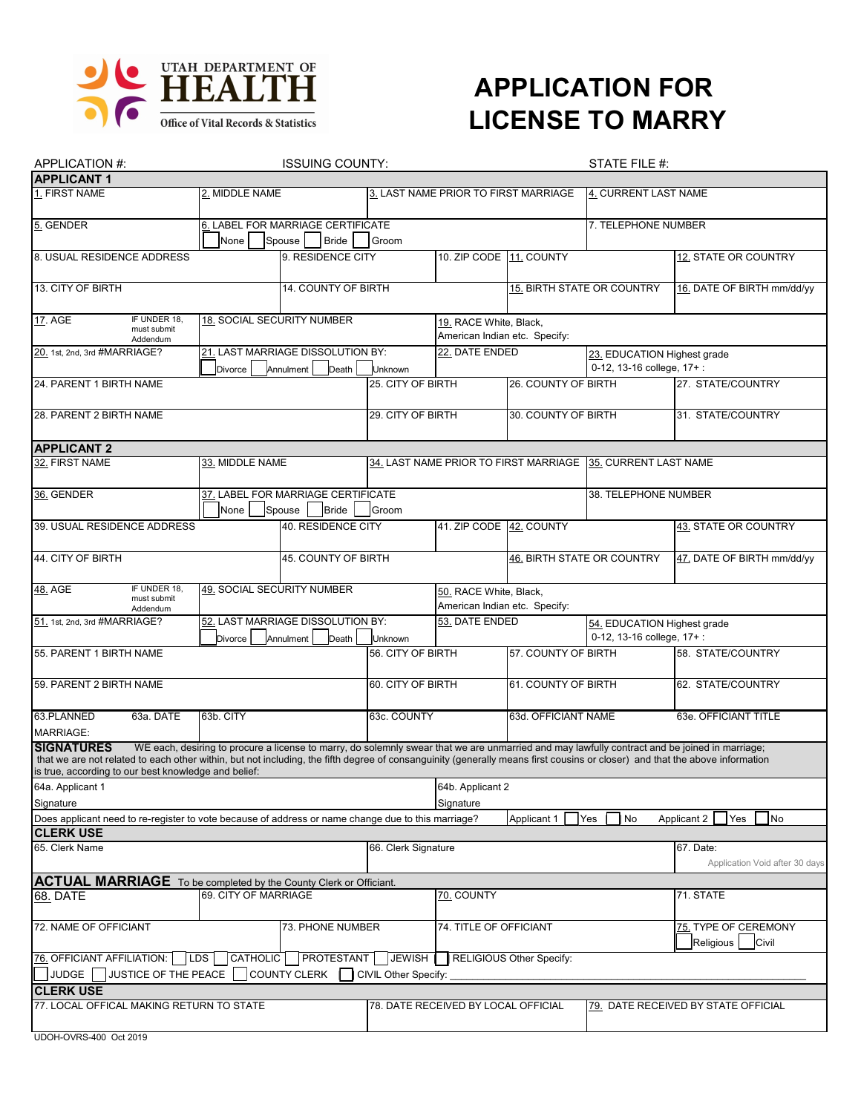

## **APPLICATION FOR LICENSE TO MARRY**

| APPLICATION #:                                                                                                                                                                                                                                                                                                                                                                                            | <b>ISSUING COUNTY:</b>                                               |                                                             |                                                                            | STATE FILE #:                                           |                      |                                                             |                                             |  |
|-----------------------------------------------------------------------------------------------------------------------------------------------------------------------------------------------------------------------------------------------------------------------------------------------------------------------------------------------------------------------------------------------------------|----------------------------------------------------------------------|-------------------------------------------------------------|----------------------------------------------------------------------------|---------------------------------------------------------|----------------------|-------------------------------------------------------------|---------------------------------------------|--|
| <b>APPLICANT 1</b>                                                                                                                                                                                                                                                                                                                                                                                        |                                                                      |                                                             |                                                                            |                                                         |                      |                                                             |                                             |  |
| 1. FIRST NAME                                                                                                                                                                                                                                                                                                                                                                                             | 2. MIDDLE NAME                                                       |                                                             | 3. LAST NAME PRIOR TO FIRST MARRIAGE                                       |                                                         | 4. CURRENT LAST NAME |                                                             |                                             |  |
| 5. GENDER                                                                                                                                                                                                                                                                                                                                                                                                 | None                                                                 | 6. LABEL FOR MARRIAGE CERTIFICATE<br>Spouse<br><b>Bride</b> | Groom                                                                      |                                                         |                      | 7. TELEPHONE NUMBER                                         |                                             |  |
| 8. USUAL RESIDENCE ADDRESS                                                                                                                                                                                                                                                                                                                                                                                |                                                                      | 9. RESIDENCE CITY                                           |                                                                            | 10. ZIP CODE 11. COUNTY                                 |                      |                                                             | 12. STATE OR COUNTRY                        |  |
| 13. CITY OF BIRTH                                                                                                                                                                                                                                                                                                                                                                                         | 14. COUNTY OF BIRTH                                                  |                                                             |                                                                            |                                                         |                      | 15. BIRTH STATE OR COUNTRY                                  | 16. DATE OF BIRTH mm/dd/yy                  |  |
| IF UNDER 18.<br>17. AGE<br>must submit<br>Addendum                                                                                                                                                                                                                                                                                                                                                        | <b>18. SOCIAL SECURITY NUMBER</b>                                    |                                                             | 19. RACE White, Black,<br>American Indian etc. Specify:                    |                                                         |                      |                                                             |                                             |  |
| 20. 1st, 2nd, 3rd #MARRIAGE?                                                                                                                                                                                                                                                                                                                                                                              | Divorce                                                              | 21. LAST MARRIAGE DISSOLUTION BY:<br>Annulment<br>Death     | Unknown                                                                    | 22. DATE ENDED                                          |                      | 23. EDUCATION Highest grade<br>0-12, 13-16 college, 17+:    |                                             |  |
| 24. PARENT 1 BIRTH NAME                                                                                                                                                                                                                                                                                                                                                                                   |                                                                      |                                                             | 25. CITY OF BIRTH                                                          |                                                         | 26. COUNTY OF BIRTH  |                                                             | 27. STATE/COUNTRY                           |  |
| 28. PARENT 2 BIRTH NAME                                                                                                                                                                                                                                                                                                                                                                                   |                                                                      |                                                             | 29. CITY OF BIRTH<br>30. COUNTY OF BIRTH                                   |                                                         |                      | 31. STATE/COUNTRY                                           |                                             |  |
| <b>APPLICANT 2</b>                                                                                                                                                                                                                                                                                                                                                                                        |                                                                      |                                                             |                                                                            |                                                         |                      |                                                             |                                             |  |
| 32. FIRST NAME                                                                                                                                                                                                                                                                                                                                                                                            | 33. MIDDLE NAME                                                      |                                                             |                                                                            |                                                         |                      | 34. LAST NAME PRIOR TO FIRST MARRIAGE 35. CURRENT LAST NAME |                                             |  |
| 36. GENDER                                                                                                                                                                                                                                                                                                                                                                                                | 37. LABEL FOR MARRIAGE CERTIFICATE<br>None<br><b>Bride</b><br>Spouse |                                                             | Groom                                                                      |                                                         | 38. TELEPHONE NUMBER |                                                             |                                             |  |
| 39. USUAL RESIDENCE ADDRESS                                                                                                                                                                                                                                                                                                                                                                               |                                                                      | 40. RESIDENCE CITY                                          |                                                                            | 41. ZIP CODE 42. COUNTY                                 |                      |                                                             | 43. STATE OR COUNTRY                        |  |
| 44. CITY OF BIRTH                                                                                                                                                                                                                                                                                                                                                                                         |                                                                      | 45. COUNTY OF BIRTH                                         |                                                                            |                                                         |                      | 46. BIRTH STATE OR COUNTRY                                  | 47. DATE OF BIRTH mm/dd/yy                  |  |
| IF UNDER 18.<br>48. AGE<br>must submit<br>Addendum                                                                                                                                                                                                                                                                                                                                                        | 49. SOCIAL SECURITY NUMBER                                           |                                                             |                                                                            | 50. RACE White, Black,<br>American Indian etc. Specify: |                      |                                                             |                                             |  |
| 51. 1st, 2nd, 3rd #MARRIAGE?                                                                                                                                                                                                                                                                                                                                                                              | 52. LAST MARRIAGE DISSOLUTION BY:<br>Divorce<br>Annulment<br>Death   |                                                             | 53. DATE ENDED<br>Unknown                                                  |                                                         |                      | 54. EDUCATION Highest grade<br>0-12, 13-16 college, 17+:    |                                             |  |
| 55. PARENT 1 BIRTH NAME                                                                                                                                                                                                                                                                                                                                                                                   |                                                                      |                                                             | 56. CITY OF BIRTH                                                          | 57. COUNTY OF BIRTH                                     |                      | 58. STATE/COUNTRY                                           |                                             |  |
| 59. PARENT 2 BIRTH NAME                                                                                                                                                                                                                                                                                                                                                                                   |                                                                      |                                                             | 60. CITY OF BIRTH                                                          |                                                         | 61. COUNTY OF BIRTH  |                                                             | 62. STATE/COUNTRY                           |  |
| 63.PLANNED<br>63a. DATE<br>MARRIAGE:                                                                                                                                                                                                                                                                                                                                                                      | 63b. CITY                                                            |                                                             | 63c. COUNTY                                                                |                                                         | 63d. OFFICIANT NAME  |                                                             | 63e. OFFICIANT TITLE                        |  |
| <b>SIGNATURES</b><br>WE each, desiring to procure a license to marry, do solemnly swear that we are unmarried and may lawfully contract and be joined in marriage;<br>that we are not related to each other within, but not including, the fifth degree of consanguinity (generally means first cousins or closer) and that the above information<br>is true, according to our best knowledge and belief: |                                                                      |                                                             |                                                                            |                                                         |                      |                                                             |                                             |  |
| 64a. Applicant 1<br>Signature                                                                                                                                                                                                                                                                                                                                                                             |                                                                      |                                                             |                                                                            | 64b. Applicant 2<br>Signature                           |                      |                                                             |                                             |  |
| Does applicant need to re-register to vote because of address or name change due to this marriage?                                                                                                                                                                                                                                                                                                        |                                                                      |                                                             |                                                                            |                                                         | Applicant 1          | Yes<br>No                                                   | No<br>Applicant 2<br>Yes                    |  |
| <b>CLERK USE</b>                                                                                                                                                                                                                                                                                                                                                                                          |                                                                      |                                                             |                                                                            |                                                         |                      |                                                             |                                             |  |
| 65. Clerk Name                                                                                                                                                                                                                                                                                                                                                                                            |                                                                      |                                                             | 66. Clerk Signature                                                        |                                                         |                      |                                                             | 67. Date:<br>Application Void after 30 days |  |
| <b>ACTUAL MARRIAGE</b> To be completed by the County Clerk or Officiant.                                                                                                                                                                                                                                                                                                                                  |                                                                      |                                                             |                                                                            |                                                         |                      |                                                             |                                             |  |
| <b>68. DATE</b>                                                                                                                                                                                                                                                                                                                                                                                           | 69. CITY OF MARRIAGE                                                 |                                                             |                                                                            | <u>70.</u> COUNTY                                       |                      |                                                             | 71. STATE                                   |  |
| 72. NAME OF OFFICIANT<br>73. PHONE NUMBER                                                                                                                                                                                                                                                                                                                                                                 |                                                                      |                                                             | 74. TITLE OF OFFICIANT                                                     |                                                         |                      | 75. TYPE OF CEREMONY<br>Religious<br>Civil                  |                                             |  |
| CATHOLIC PROTESTANT<br>76. OFFICIANT AFFILIATION:<br>LDS  <br>JEWISH RELIGIOUS Other Specify:<br>JUSTICE OF THE PEACE<br><b>COUNTY CLERK</b><br>JUDGE<br>CIVIL Other Specify:                                                                                                                                                                                                                             |                                                                      |                                                             |                                                                            |                                                         |                      |                                                             |                                             |  |
| <b>CLERK USE</b>                                                                                                                                                                                                                                                                                                                                                                                          |                                                                      |                                                             |                                                                            |                                                         |                      |                                                             |                                             |  |
| 77. LOCAL OFFICAL MAKING RETURN TO STATE                                                                                                                                                                                                                                                                                                                                                                  |                                                                      |                                                             | 78. DATE RECEIVED BY LOCAL OFFICIAL<br>79. DATE RECEIVED BY STATE OFFICIAL |                                                         |                      |                                                             |                                             |  |